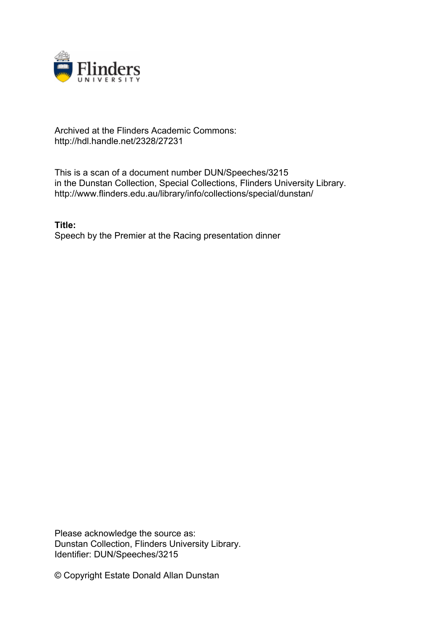

## Archived at the Flinders Academic Commons: http://hdl.handle.net/2328/27231

This is a scan of a document number DUN/Speeches/3215 in the Dunstan Collection, Special Collections, Flinders University Library. http://www.flinders.edu.au/library/info/collections/special/dunstan/

**Title:** Speech by the Premier at the Racing presentation dinner

Please acknowledge the source as: Dunstan Collection, Flinders University Library. Identifier: DUN/Speeches/3215

© Copyright Estate Donald Allan Dunstan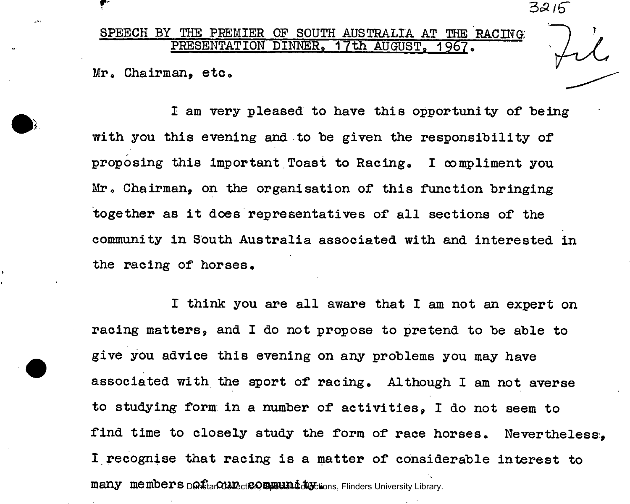r  $3215$ 

## SPEECH BY THE PREMIER OF SOUTH AUSTRALIA AT THE RACING PRESENTATION DINNER, 17th AUGUST. 1967.

Mr. Chairman, etc.

 $\mathbf{A}$ 

I am very pleased to have this opportunity of being with you this evening and to be given the responsibility of proposing this important Toast to Racing. I compliment you Mr. Chairman, on the organisation of this function bringing together as it does representatives of all sections of the community in South Australia associated with and interested in the racing of horses.

I think you are all aware that I am not an expert on racing matters, and I do not propose to pretend to be able to give you advice this evening on any problems you may have associated with the sport of racing. Although I am not averse to studying form in a number of activities, I do not seem to find time to closely study the form of race horses. Nevertheless:, I recognise that racing is a matter of considerable interest to many members <sub>D</sub>On<sub>Stan</sub> Council Community Clinders University Library.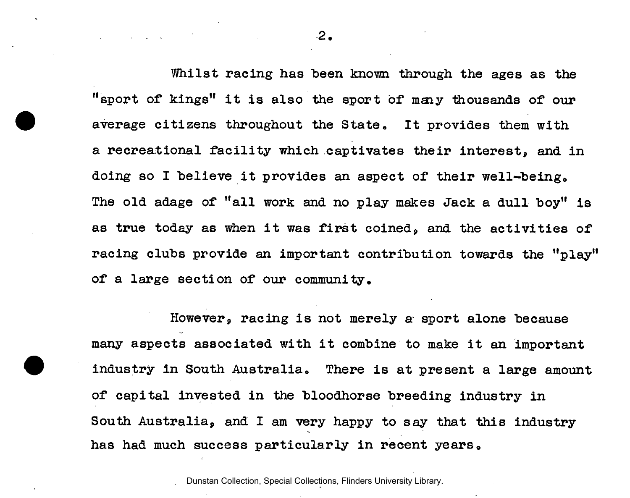Whilst racing has been known through the ages as the "sport of kings" it is also the sport of many thousands of our average citizens throughout the State. It provides them with a recreational facility which captivates their interest, and in doing so I believe it provides an aspect of their well-being. The old adage of "all work and no play makes Jack a dull boy" is as true today as when it was first coined, and the activities of racing clubs provide an important contribution towards the "play" of a large section of our community.

However, racing is not merely a sport alone because many aspects associated with it combine to make it an important industry in South Australia, There is at present a large amount of capital invested in the bloodhorse breeding industry in South Australia, and I am very happy to say that this industry has had much success particularly in recent years.

Dunstan Collection, Special Collections, Flinders University Library.

**2.**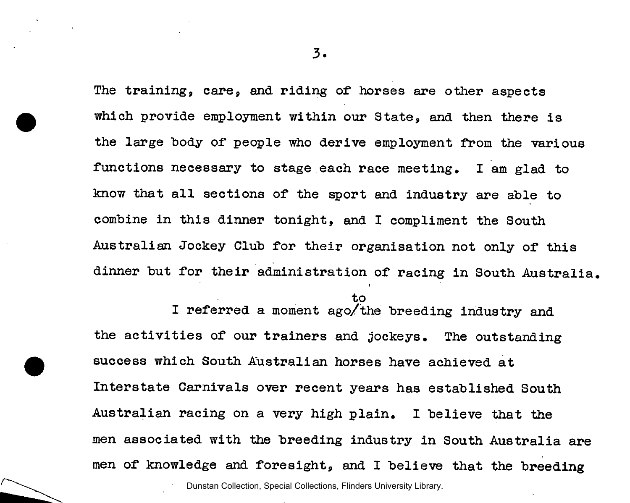**3** 

The training, care, and riding of horses are other aspects which provide employment within our State, and then there is the large body of people who derive employment from the various functions necessary to stage each race meeting. I am glad to know that all sections of the sport and industry are able to combine in this dinner tonight, and I compliment the South Australian Jockey Club for their organisation not only of this dinner but for their administration of racing in South Australia.

to<br>I referred a moment ago/the breeding industry and the activities of our trainers and jockeys. The outstanding success which South Australian horses have achieved at Interstate Carnivals over recent years has established South Australian racing on a very high plain. I believe that the Australian racing on a very high plain. I believe that the men associated with the breeding industry in South Australia are<br>men of knowledge and foresight, and I believe that the breeding men of the breeding and I believe that the breeding problems in the breeding Dunstan Collection, Special Collections, Flinders University Library.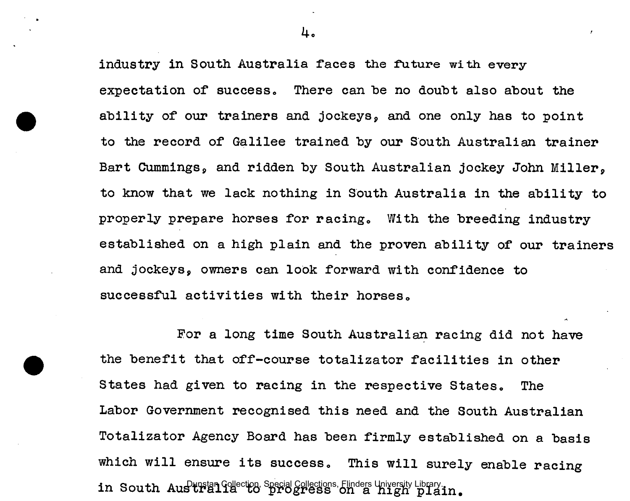industry in South Australia faces the future with every expectation of success. There can be no doubt also about the ability of our trainers and jockeys, and one only has to point to the record of Galilee trained by our South Australian trainer Bart Cummings, and ridden by South Australian jockey John Miller, to know that we lack nothing in South Australia in the ability to properly prepare horses for racing. With the breeding industry established on a high plain and the proven ability of our trainers and jockeys, owners can look forward with confidence to successful activities with their horses.

For a long time South Australian racing did not have the benefit that off-course totalizator facilities in other States had given to racing in the respective States. The Labor Government recognised this need and the South Australian Totalizator Agency Board has been firmly established on a basis which will ensure its success. This will surely enable racing in South  $\text{AugH}_2^{\text{up}}$  (allection, Special Collections, Flinders University Library.  $\text{flagn}$  plain.

4.